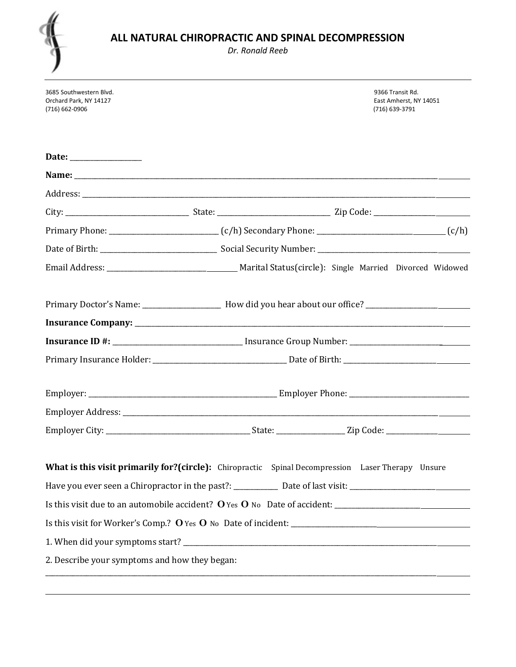

Dr. Ronald Reeb

| 3685 Southwestern Blvd.<br>Orchard Park, NY 14127<br>(716) 662-0906 | 9366 Transit Rd.<br>East Amherst, NY 14051<br>(716) 639-3791                                             |
|---------------------------------------------------------------------|----------------------------------------------------------------------------------------------------------|
|                                                                     |                                                                                                          |
|                                                                     |                                                                                                          |
|                                                                     |                                                                                                          |
|                                                                     |                                                                                                          |
|                                                                     |                                                                                                          |
|                                                                     |                                                                                                          |
|                                                                     |                                                                                                          |
|                                                                     | Primary Doctor's Name: _______________________ How did you hear about our office? __________________     |
|                                                                     |                                                                                                          |
|                                                                     | Insurance ID #: _________________________________ Insurance Group Number: __________________________     |
|                                                                     |                                                                                                          |
|                                                                     |                                                                                                          |
|                                                                     |                                                                                                          |
|                                                                     |                                                                                                          |
|                                                                     | <b>What is this visit primarily for?(circle):</b> Chiropractic Spinal Decompression Laser Therapy Unsure |
|                                                                     |                                                                                                          |
|                                                                     | Is this visit due to an automobile accident? O Yes O No Date of accident: __________________________     |
|                                                                     |                                                                                                          |
|                                                                     |                                                                                                          |
| 2. Describe your symptoms and how they began:                       |                                                                                                          |
|                                                                     |                                                                                                          |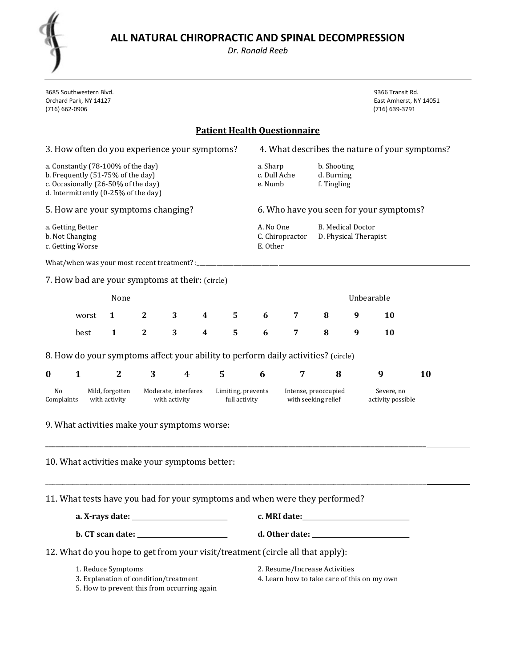Dr. Ronald Reeb

| $\lambda$ |    |   |  |
|-----------|----|---|--|
|           | ۷  |   |  |
|           |    | Y |  |
|           | v. |   |  |

| 3685 Southwestern Blvd.<br>Orchard Park, NY 14127<br>(716) 662-0906                                                                                    |                                                                                   |              |              |   |   |   |                      |                                                                                               |   |                                 | 9366 Transit Rd.<br>East Amherst, NY 14051<br>(716) 639-3791 |                                                |
|--------------------------------------------------------------------------------------------------------------------------------------------------------|-----------------------------------------------------------------------------------|--------------|--------------|---|---|---|----------------------|-----------------------------------------------------------------------------------------------|---|---------------------------------|--------------------------------------------------------------|------------------------------------------------|
|                                                                                                                                                        |                                                                                   |              |              |   |   |   |                      | <b>Patient Health Ouestionnaire</b>                                                           |   |                                 |                                                              |                                                |
|                                                                                                                                                        | 3. How often do you experience your symptoms?                                     |              |              |   |   |   |                      |                                                                                               |   |                                 |                                                              | 4. What describes the nature of your symptoms? |
| a. Constantly (78-100% of the day)<br>b. Frequently (51-75% of the day)<br>c. Occasionally (26-50% of the day)<br>d. Intermittently (0-25% of the day) |                                                                                   |              |              |   |   |   |                      | b. Shooting<br>a. Sharp<br>c. Dull Ache<br>d. Burning<br>f. Tingling<br>e. Numb               |   |                                 |                                                              |                                                |
|                                                                                                                                                        | 5. How are your symptoms changing?                                                |              |              |   |   |   |                      |                                                                                               |   |                                 | 6. Who have you seen for your symptoms?                      |                                                |
| a. Getting Better<br>b. Not Changing<br>c. Getting Worse                                                                                               |                                                                                   |              |              |   |   |   |                      | A. No One<br><b>B.</b> Medical Doctor<br>D. Physical Therapist<br>C. Chiropractor<br>E. Other |   |                                 |                                                              |                                                |
|                                                                                                                                                        | What/when was your most recent treatment? :_                                      |              |              |   |   |   |                      |                                                                                               |   |                                 |                                                              |                                                |
|                                                                                                                                                        | 7. How bad are your symptoms at their: (circle)                                   |              |              |   |   |   |                      |                                                                                               |   |                                 |                                                              |                                                |
|                                                                                                                                                        |                                                                                   | None         |              |   |   |   |                      |                                                                                               |   |                                 | Unbearable                                                   |                                                |
|                                                                                                                                                        | worst                                                                             | 1            | $\mathbf{2}$ | 3 | 4 | 5 | 6                    | 7                                                                                             | 8 | 9                               | <b>10</b>                                                    |                                                |
|                                                                                                                                                        | best                                                                              | $\mathbf{1}$ | $\mathbf{2}$ | 3 | 4 | 5 | 6                    | 7                                                                                             | 8 | 9                               | 10                                                           |                                                |
|                                                                                                                                                        | 8. How do your symptoms affect your ability to perform daily activities? (circle) |              |              |   |   |   |                      |                                                                                               |   |                                 |                                                              |                                                |
| $\bf{0}$                                                                                                                                               | $\mathbf{1}$                                                                      | $\mathbf{2}$ | 3            | 4 |   | 5 | 6                    | 7                                                                                             | 8 |                                 | 9                                                            | 10                                             |
| No<br>Mild, forgotten<br>Moderate, interferes<br>Limiting, prevents<br>Complaints<br>with activity<br>with activity<br>full activity                   |                                                                                   |              |              |   |   |   | Intense, preoccupied | with seeking relief                                                                           |   | Severe, no<br>activity possible |                                                              |                                                |
|                                                                                                                                                        | 9. What activities make your symptoms worse:                                      |              |              |   |   |   |                      |                                                                                               |   |                                 |                                                              |                                                |
|                                                                                                                                                        | 10. What activities make your symptoms better:                                    |              |              |   |   |   |                      |                                                                                               |   |                                 |                                                              |                                                |
|                                                                                                                                                        | 11. What tests have you had for your symptoms and when were they performed?       |              |              |   |   |   |                      |                                                                                               |   |                                 |                                                              |                                                |
|                                                                                                                                                        |                                                                                   |              |              |   |   |   |                      |                                                                                               |   |                                 |                                                              |                                                |
|                                                                                                                                                        |                                                                                   |              |              |   |   |   |                      |                                                                                               |   |                                 |                                                              |                                                |
|                                                                                                                                                        | 12. What do you hope to get from your visit/treatment (circle all that apply):    |              |              |   |   |   |                      |                                                                                               |   |                                 |                                                              |                                                |
| 1. Reduce Symptoms<br>3. Explanation of condition/treatment<br>5. How to prevent this from occurring again                                             |                                                                                   |              |              |   |   |   |                      | 2. Resume/Increase Activities<br>4. Learn how to take care of this on my own                  |   |                                 |                                                              |                                                |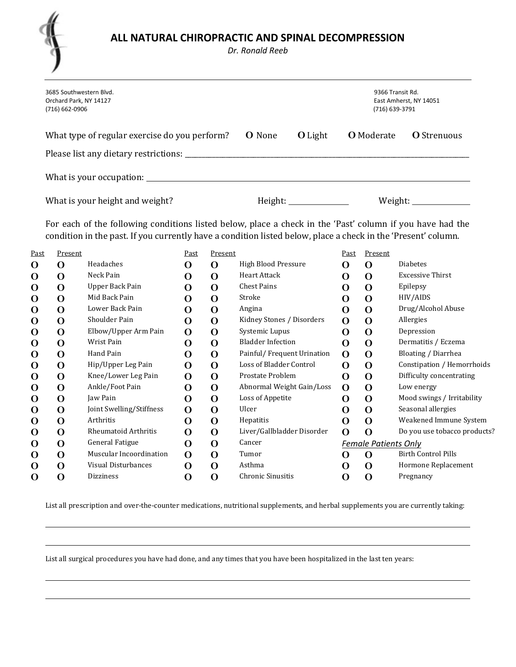

 $\overline{a}$ 

Dr. Ronald Reeb

| (716) 662-0906        | 3685 Southwestern Blvd.<br>Orchard Park, NY 14127                                                                                                                                                                          |              |          |                           |                | 9366 Transit Rd.<br>East Amherst, NY 14051<br>(716) 639-3791 |                   |                         |
|-----------------------|----------------------------------------------------------------------------------------------------------------------------------------------------------------------------------------------------------------------------|--------------|----------|---------------------------|----------------|--------------------------------------------------------------|-------------------|-------------------------|
|                       | What type of regular exercise do you perform?                                                                                                                                                                              |              |          | <b>O</b> None             | <b>O</b> Light |                                                              | <b>O</b> Moderate | <b>O</b> Strenuous      |
|                       |                                                                                                                                                                                                                            |              |          |                           |                |                                                              |                   |                         |
|                       |                                                                                                                                                                                                                            |              |          |                           |                |                                                              |                   |                         |
|                       | What is your height and weight?                                                                                                                                                                                            |              |          |                           |                |                                                              |                   | Weight: New York 1997   |
|                       | For each of the following conditions listed below, place a check in the 'Past' column if you have had the<br>condition in the past. If you currently have a condition listed below, place a check in the 'Present' column. |              |          |                           |                |                                                              |                   |                         |
| Present<br><u>ist</u> |                                                                                                                                                                                                                            | Past         | Present  |                           |                | Past                                                         | Present           |                         |
| $\Omega$              | Headaches                                                                                                                                                                                                                  | $\mathbf{O}$ | $\Omega$ | High Blood Pressure       |                | $\Omega$                                                     | $\Omega$          | <b>Diabetes</b>         |
| O                     | Neck Pain                                                                                                                                                                                                                  | $\mathbf O$  | $\Omega$ | Heart Attack              |                | $\mathbf O$                                                  | $\Omega$          | <b>Excessive Thirst</b> |
| O                     | Upper Back Pain                                                                                                                                                                                                            | $\mathbf O$  | $\Omega$ | <b>Chest Pains</b>        |                | O                                                            | $\Omega$          | Epilepsy                |
| O                     | Mid Back Pain                                                                                                                                                                                                              | $\mathbf O$  | $\Omega$ | Stroke                    |                | O                                                            | $\Omega$          | HIV/AIDS                |
| $\mathbf O$           | Lower Back Pain                                                                                                                                                                                                            | O            | $\Omega$ | Angina                    |                | O                                                            | $\Omega$          | Drug/Alcohol Abuse      |
| ⌒                     | Shoulder Dain                                                                                                                                                                                                              | ⌒            | ⌒        | Kidnov Stonos / Disordors |                | $\mathbf{\Omega}$                                            | $\sim$            | Allorgias               |

| Past        | Present  |                             | Past        | Present |                            | Past         | Present                     |                              |
|-------------|----------|-----------------------------|-------------|---------|----------------------------|--------------|-----------------------------|------------------------------|
| O           | O        | Headaches                   | O           | O       | <b>High Blood Pressure</b> | 0            | $\Omega$                    | <b>Diabetes</b>              |
| O           | $\Omega$ | Neck Pain                   | O           | O       | Heart Attack               | O            | $\mathbf 0$                 | <b>Excessive Thirst</b>      |
| O           | O        | Upper Back Pain             | O           | O       | <b>Chest Pains</b>         | O            | $\mathbf O$                 | Epilepsy                     |
| O           | O        | Mid Back Pain               | O           | O       | Stroke                     | O            | O                           | HIV/AIDS                     |
| O           | O        | Lower Back Pain             | O           | O       | Angina                     | O            | $\mathbf O$                 | Drug/Alcohol Abuse           |
| O           | O        | Shoulder Pain               | O           | O       | Kidney Stones / Disorders  | O            | $\mathbf 0$                 | Allergies                    |
| O           | O        | Elbow/Upper Arm Pain        | O           | O       | Systemic Lupus             | O            | $\mathbf O$                 | Depression                   |
| O           | O        | Wrist Pain                  | O           | O       | <b>Bladder Infection</b>   | O            | $\mathbf 0$                 | Dermatitis / Eczema          |
| O           | O        | Hand Pain                   | O           | O       | Painful/Frequent Urination | O            | O                           | Bloating / Diarrhea          |
| O           | O        | Hip/Upper Leg Pain          | $\Omega$    | O       | Loss of Bladder Control    | $\Omega$     | $\mathbf 0$                 | Constipation / Hemorrhoids   |
| O           | O        | Knee/Lower Leg Pain         | O           | O       | Prostate Problem           | O            | $\mathbf O$                 | Difficulty concentrating     |
| O           | O        | Ankle/Foot Pain             | O           | O       | Abnormal Weight Gain/Loss  | $\mathbf{O}$ | $\mathbf 0$                 | Low energy                   |
| O           | O        | Jaw Pain                    | O           | O       | Loss of Appetite           | O            | $\mathbf O$                 | Mood swings / Irritability   |
| O           | O        | Joint Swelling/Stiffness    | $\mathbf 0$ | O       | Ulcer                      | O            | $\mathbf 0$                 | Seasonal allergies           |
| $\mathbf 0$ | $\Omega$ | Arthritis                   | O           | O       | Hepatitis                  | O            | $\mathbf 0$                 | Weakened Immune System       |
| O           | O        | <b>Rheumatoid Arthritis</b> | O           | O       | Liver/Gallbladder Disorder | $\mathbf 0$  | O                           | Do you use tobacco products? |
| $\mathbf 0$ | O        | General Fatigue             | O           | O       | Cancer                     |              | <b>Female Patients Only</b> |                              |
| O           | O        | Muscular Incoordination     | $\Omega$    | O       | Tumor                      | O            | O                           | <b>Birth Control Pills</b>   |
| O           | O        | Visual Disturbances         | O           | O       | Asthma                     | O            | O                           | Hormone Replacement          |
| O           | O        | <b>Dizziness</b>            | O           | O       | <b>Chronic Sinusitis</b>   | O            | O                           | Pregnancy                    |

List all prescription and over-the-counter medications, nutritional supplements, and herbal supplements you are currently taking:

List all surgical procedures you have had done, and any times that you have been hospitalized in the last ten years: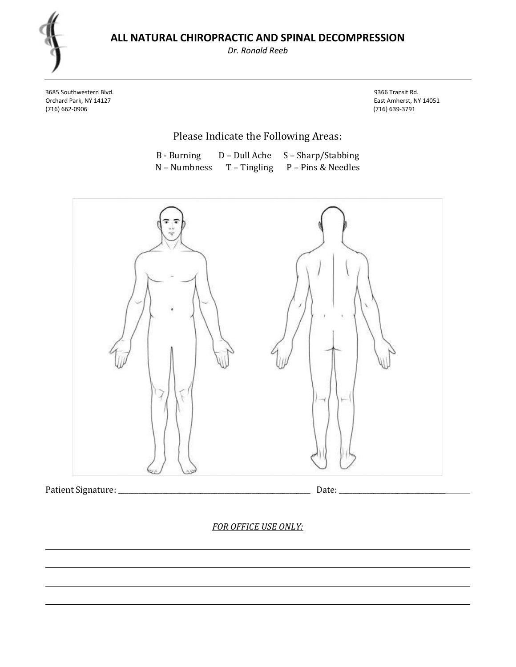Dr. Ronald Reeb

3685 Southwestern Blvd. 9366 Transit Rd. Orchard Park, NY 14127 East Amherst, NY 14051

(716) 639-3791

Please Indicate the Following Areas:

| B - Burning  | D – Dull Ache  | S – Sharp/Stabbing |
|--------------|----------------|--------------------|
| N – Numbness | $T - Tingling$ | P - Pins & Needles |



Patient Signature: \_\_\_\_\_\_\_\_\_\_\_\_\_\_\_\_\_\_\_\_\_\_\_\_\_\_\_\_\_\_\_\_\_\_\_\_\_\_\_\_\_\_\_\_\_\_\_\_\_\_\_\_\_\_\_\_ Date: \_\_\_\_\_\_\_\_\_\_\_\_\_\_\_\_\_\_\_\_\_\_\_\_\_\_\_\_\_\_\_

L

FOR OFFICE USE ONLY: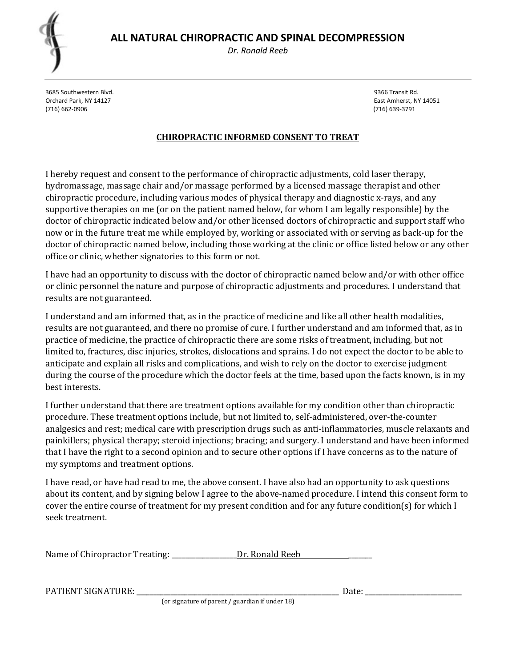Dr. Ronald Reeb

3685 Southwestern Blvd. 9366 Transit Rd. Orchard Park, NY 14127 East Amherst, NY 14051 (716) 662-0906 (716) 639-3791

#### CHIROPRACTIC INFORMED CONSENT TO TREAT

I hereby request and consent to the performance of chiropractic adjustments, cold laser therapy, hydromassage, massage chair and/or massage performed by a licensed massage therapist and other chiropractic procedure, including various modes of physical therapy and diagnostic x-rays, and any supportive therapies on me (or on the patient named below, for whom I am legally responsible) by the doctor of chiropractic indicated below and/or other licensed doctors of chiropractic and support staff who now or in the future treat me while employed by, working or associated with or serving as back-up for the doctor of chiropractic named below, including those working at the clinic or office listed below or any other office or clinic, whether signatories to this form or not.

I have had an opportunity to discuss with the doctor of chiropractic named below and/or with other office or clinic personnel the nature and purpose of chiropractic adjustments and procedures. I understand that results are not guaranteed.

I understand and am informed that, as in the practice of medicine and like all other health modalities, results are not guaranteed, and there no promise of cure. I further understand and am informed that, as in practice of medicine, the practice of chiropractic there are some risks of treatment, including, but not limited to, fractures, disc injuries, strokes, dislocations and sprains. I do not expect the doctor to be able to anticipate and explain all risks and complications, and wish to rely on the doctor to exercise judgment during the course of the procedure which the doctor feels at the time, based upon the facts known, is in my best interests.

I further understand that there are treatment options available for my condition other than chiropractic procedure. These treatment options include, but not limited to, self-administered, over-the-counter analgesics and rest; medical care with prescription drugs such as anti-inflammatories, muscle relaxants and painkillers; physical therapy; steroid injections; bracing; and surgery. I understand and have been informed that I have the right to a second opinion and to secure other options if I have concerns as to the nature of my symptoms and treatment options.

I have read, or have had read to me, the above consent. I have also had an opportunity to ask questions about its content, and by signing below I agree to the above-named procedure. I intend this consent form to cover the entire course of treatment for my present condition and for any future condition(s) for which I seek treatment.

| Name of Chiropractor Treating: | Dr. Ronald Reeb |
|--------------------------------|-----------------|
|--------------------------------|-----------------|

PATIENT SIGNATURE: \_\_\_\_\_\_\_\_\_\_\_\_\_\_\_\_\_\_\_\_\_\_\_\_\_\_\_\_\_\_\_\_\_\_\_\_\_\_\_\_\_\_\_\_\_\_\_\_\_\_\_\_\_\_\_\_\_\_\_ Date: \_\_\_\_\_\_\_\_\_\_\_\_\_\_\_\_\_\_\_\_\_\_\_\_\_\_\_\_

(or signature of parent / guardian if under 18)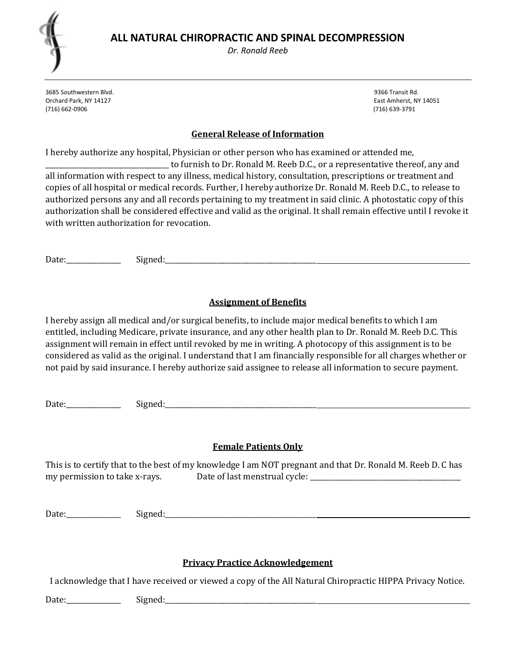Dr. Ronald Reeb

3685 Southwestern Blvd. 9366 Transit Rd. Orchard Park, NY 14127 East Amherst, NY 14051 (716) 662-0906 (716) 639-3791

#### General Release of Information

I hereby authorize any hospital, Physician or other person who has examined or attended me,

\_\_\_\_\_\_\_\_\_\_\_\_\_\_\_\_\_\_\_\_\_\_\_\_\_\_\_\_\_\_\_\_\_\_\_\_ to furnish to Dr. Ronald M. Reeb D.C., or a representative thereof, any and all information with respect to any illness, medical history, consultation, prescriptions or treatment and copies of all hospital or medical records. Further, I hereby authorize Dr. Ronald M. Reeb D.C., to release to authorized persons any and all records pertaining to my treatment in said clinic. A photostatic copy of this authorization shall be considered effective and valid as the original. It shall remain effective until I revoke it with written authorization for revocation.

Date:\_\_\_\_\_\_\_\_\_\_\_\_\_\_\_\_ Signed:\_\_\_\_\_\_\_\_\_\_\_\_\_\_\_\_\_\_\_\_\_\_\_\_\_\_\_\_\_\_\_\_\_\_\_\_\_\_\_\_\_\_\_\_

### Assignment of Benefits

I hereby assign all medical and/or surgical benefits, to include major medical benefits to which I am entitled, including Medicare, private insurance, and any other health plan to Dr. Ronald M. Reeb D.C. This assignment will remain in effect until revoked by me in writing. A photocopy of this assignment is to be considered as valid as the original. I understand that I am financially responsible for all charges whether or not paid by said insurance. I hereby authorize said assignee to release all information to secure payment.

Date: Signed: Signed:

#### Female Patients Only

This is to certify that to the best of my knowledge I am NOT pregnant and that Dr. Ronald M. Reeb D. C has my permission to take x-rays. Date of last menstrual cycle: \_\_\_\_\_\_\_\_\_\_\_\_\_\_\_\_\_\_\_\_

Date:\_\_\_\_\_\_\_\_\_\_\_\_\_\_\_\_ Signed:\_\_\_\_\_\_\_\_\_\_\_\_\_\_\_\_\_\_\_\_\_\_\_\_\_\_\_\_\_\_\_\_\_\_\_\_\_\_\_\_\_\_\_\_

#### Privacy Practice Acknowledgement

I acknowledge that I have received or viewed a copy of the All Natural Chiropractic HIPPA Privacy Notice.

Date:\_\_\_\_\_\_\_\_\_\_\_\_\_\_\_\_ Signed:\_\_\_\_\_\_\_\_\_\_\_\_\_\_\_\_\_\_\_\_\_\_\_\_\_\_\_\_\_\_\_\_\_\_\_\_\_\_\_\_\_\_\_\_